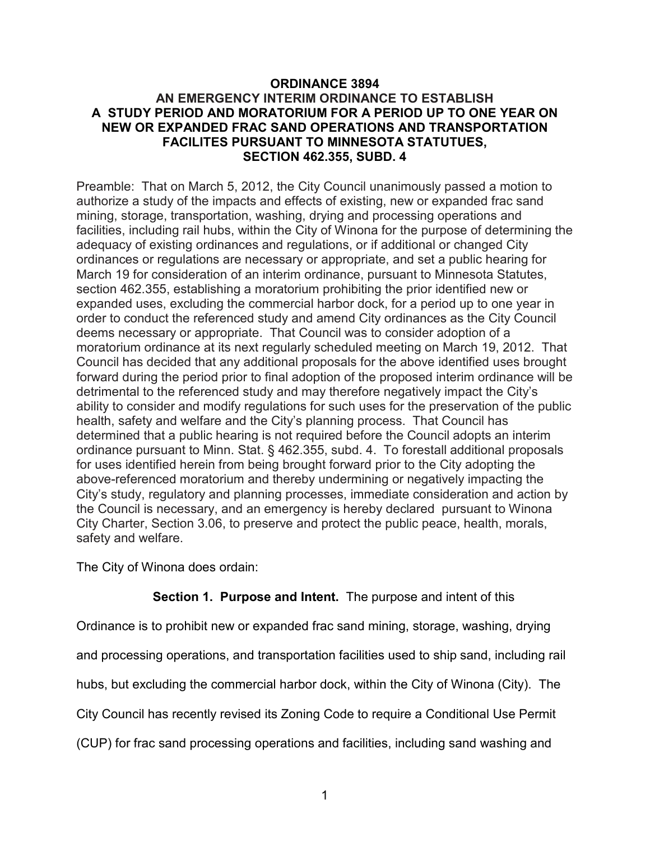## **ORDINANCE 3894 AN EMERGENCY INTERIM ORDINANCE TO ESTABLISH A STUDY PERIOD AND MORATORIUM FOR A PERIOD UP TO ONE YEAR ON NEW OR EXPANDED FRAC SAND OPERATIONS AND TRANSPORTATION FACILITES PURSUANT TO MINNESOTA STATUTUES, SECTION 462.355, SUBD. 4**

Preamble: That on March 5, 2012, the City Council unanimously passed a motion to authorize a study of the impacts and effects of existing, new or expanded frac sand mining, storage, transportation, washing, drying and processing operations and facilities, including rail hubs, within the City of Winona for the purpose of determining the adequacy of existing ordinances and regulations, or if additional or changed City ordinances or regulations are necessary or appropriate, and set a public hearing for March 19 for consideration of an interim ordinance, pursuant to Minnesota Statutes, section 462.355, establishing a moratorium prohibiting the prior identified new or expanded uses, excluding the commercial harbor dock, for a period up to one year in order to conduct the referenced study and amend City ordinances as the City Council deems necessary or appropriate. That Council was to consider adoption of a moratorium ordinance at its next regularly scheduled meeting on March 19, 2012. That Council has decided that any additional proposals for the above identified uses brought forward during the period prior to final adoption of the proposed interim ordinance will be detrimental to the referenced study and may therefore negatively impact the City's ability to consider and modify regulations for such uses for the preservation of the public health, safety and welfare and the City's planning process. That Council has determined that a public hearing is not required before the Council adopts an interim ordinance pursuant to Minn. Stat. § 462.355, subd. 4. To forestall additional proposals for uses identified herein from being brought forward prior to the City adopting the above-referenced moratorium and thereby undermining or negatively impacting the City's study, regulatory and planning processes, immediate consideration and action by the Council is necessary, and an emergency is hereby declared pursuant to Winona City Charter, Section 3.06, to preserve and protect the public peace, health, morals, safety and welfare.

The City of Winona does ordain:

## **Section 1. Purpose and Intent.** The purpose and intent of this

Ordinance is to prohibit new or expanded frac sand mining, storage, washing, drying

and processing operations, and transportation facilities used to ship sand, including rail

hubs, but excluding the commercial harbor dock, within the City of Winona (City). The

City Council has recently revised its Zoning Code to require a Conditional Use Permit

(CUP) for frac sand processing operations and facilities, including sand washing and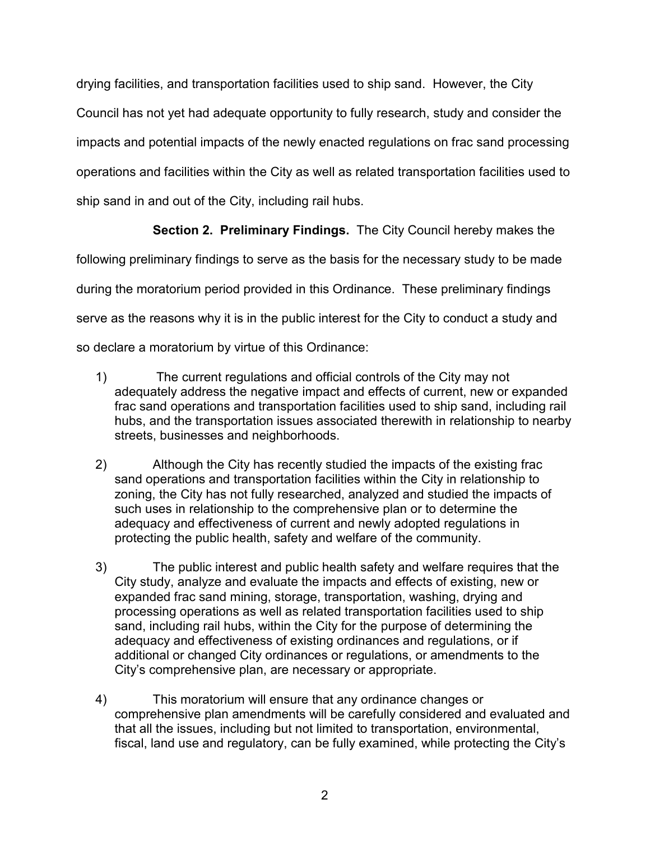drying facilities, and transportation facilities used to ship sand. However, the City Council has not yet had adequate opportunity to fully research, study and consider the impacts and potential impacts of the newly enacted regulations on frac sand processing operations and facilities within the City as well as related transportation facilities used to ship sand in and out of the City, including rail hubs.

## **Section 2. Preliminary Findings.** The City Council hereby makes the

following preliminary findings to serve as the basis for the necessary study to be made during the moratorium period provided in this Ordinance. These preliminary findings serve as the reasons why it is in the public interest for the City to conduct a study and so declare a moratorium by virtue of this Ordinance:

- 1) The current regulations and official controls of the City may not adequately address the negative impact and effects of current, new or expanded frac sand operations and transportation facilities used to ship sand, including rail hubs, and the transportation issues associated therewith in relationship to nearby streets, businesses and neighborhoods.
- 2) Although the City has recently studied the impacts of the existing frac sand operations and transportation facilities within the City in relationship to zoning, the City has not fully researched, analyzed and studied the impacts of such uses in relationship to the comprehensive plan or to determine the adequacy and effectiveness of current and newly adopted regulations in protecting the public health, safety and welfare of the community.
- 3) The public interest and public health safety and welfare requires that the City study, analyze and evaluate the impacts and effects of existing, new or expanded frac sand mining, storage, transportation, washing, drying and processing operations as well as related transportation facilities used to ship sand, including rail hubs, within the City for the purpose of determining the adequacy and effectiveness of existing ordinances and regulations, or if additional or changed City ordinances or regulations, or amendments to the City's comprehensive plan, are necessary or appropriate.
- 4) This moratorium will ensure that any ordinance changes or comprehensive plan amendments will be carefully considered and evaluated and that all the issues, including but not limited to transportation, environmental, fiscal, land use and regulatory, can be fully examined, while protecting the City's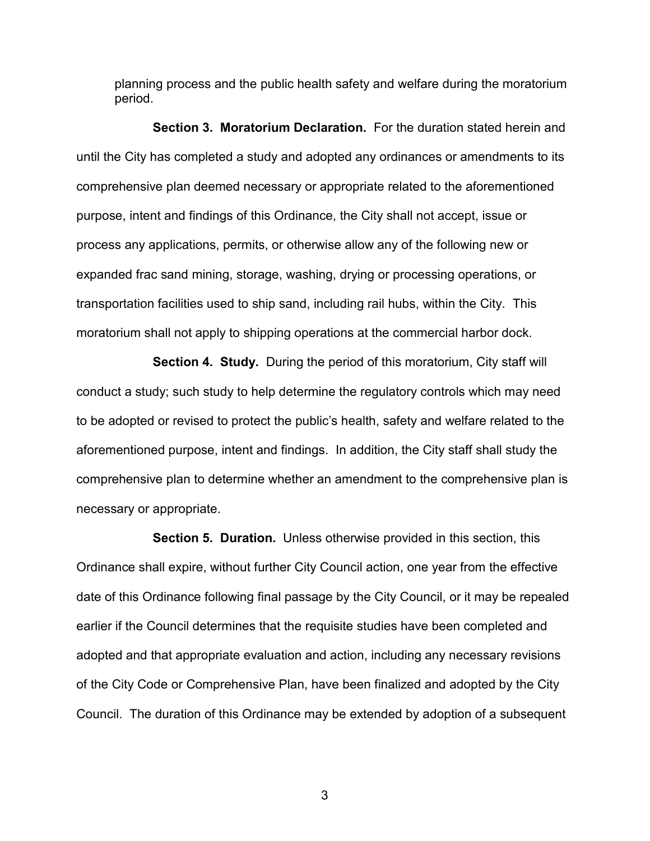planning process and the public health safety and welfare during the moratorium period.

**Section 3. Moratorium Declaration.** For the duration stated herein and until the City has completed a study and adopted any ordinances or amendments to its comprehensive plan deemed necessary or appropriate related to the aforementioned purpose, intent and findings of this Ordinance, the City shall not accept, issue or process any applications, permits, or otherwise allow any of the following new or expanded frac sand mining, storage, washing, drying or processing operations, or transportation facilities used to ship sand, including rail hubs, within the City. This moratorium shall not apply to shipping operations at the commercial harbor dock.

**Section 4. Study.** During the period of this moratorium, City staff will conduct a study; such study to help determine the regulatory controls which may need to be adopted or revised to protect the public's health, safety and welfare related to the aforementioned purpose, intent and findings. In addition, the City staff shall study the comprehensive plan to determine whether an amendment to the comprehensive plan is necessary or appropriate.

**Section 5. Duration.** Unless otherwise provided in this section, this Ordinance shall expire, without further City Council action, one year from the effective date of this Ordinance following final passage by the City Council, or it may be repealed earlier if the Council determines that the requisite studies have been completed and adopted and that appropriate evaluation and action, including any necessary revisions of the City Code or Comprehensive Plan, have been finalized and adopted by the City Council. The duration of this Ordinance may be extended by adoption of a subsequent

3